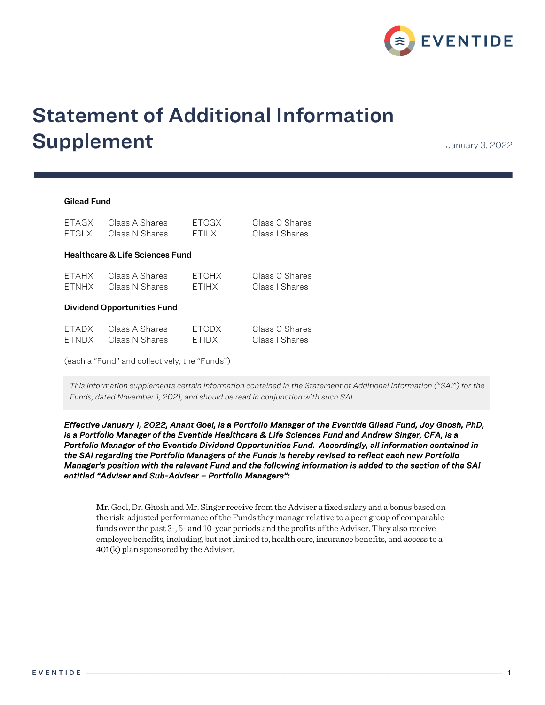

# Statement of Additional Information Supplement January 3, 2022

## Gilead Fund

| <b>FTAGX</b>                               | Class A Shares | ETCGX        | Class C Shares |  |  |  |
|--------------------------------------------|----------------|--------------|----------------|--|--|--|
| <b>ETGLX</b>                               | Class N Shares | ETILX        | Class I Shares |  |  |  |
| <b>Healthcare &amp; Life Sciences Fund</b> |                |              |                |  |  |  |
| <b>FTAHX</b>                               | Class A Shares | <b>ETCHX</b> | Class C Shares |  |  |  |
| <b>FTNHX</b>                               | Class N Shares | <b>FTIHX</b> | Class I Shares |  |  |  |
| <b>Dividend Opportunities Fund</b>         |                |              |                |  |  |  |
| <b>FTADX</b>                               | Class A Shares | FTCDX        | Class C Shares |  |  |  |
| <b>FTNDX</b>                               | Class N Shares | <b>FTIDX</b> | Class I Shares |  |  |  |

(each a "Fund" and collectively, the "Funds")

*This information supplements certain information contained in the Statement of Additional Information ("SAI") for the Funds, dated November 1, 2021, and should be read in conjunction with such SAI.*

*Effective January 1, 2022, Anant Goel, is a Portfolio Manager of the Eventide Gilead Fund, Joy Ghosh, PhD, is a Portfolio Manager of the Eventide Healthcare & Life Sciences Fund and Andrew Singer, CFA, is a Portfolio Manager of the Eventide Dividend Opportunities Fund. Accordingly, all information contained in the SAI regarding the Portfolio Managers of the Funds is hereby revised to reflect each new Portfolio Manager's position with the relevant Fund and the following information is added to the section of the SAI entitled "Adviser and Sub-Adviser – Portfolio Managers":* 

Mr. Goel, Dr. Ghosh and Mr. Singer receive from the Adviser a fixed salary and a bonus based on the risk-adjusted performance of the Funds they manage relative to a peer group of comparable funds over the past 3-, 5- and 10-year periods and the profits of the Adviser. They also receive employee benefits, including, but not limited to, health care, insurance benefits, and access to a 401(k) plan sponsored by the Adviser.